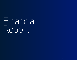## Financial Report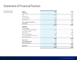## Statement of Financial Position

As at March 31, 2021 (in thousands of dollars)

| <b>ASSETS</b>                            | 2021   | 2020   |
|------------------------------------------|--------|--------|
|                                          |        |        |
| Cash                                     | 10,562 | 9,035  |
| Restricted cash                          |        | 1,686  |
| Accounts receivable                      | 3,534  | 3,424  |
| Prepaid expenses                         | 1,611  | 763    |
|                                          | 15,707 | 14,908 |
| Restricted long-term investments         | 2,289  | 2,234  |
| Capital assets                           | 1,250  | 1,051  |
|                                          | 19,246 | 18,193 |
| <b>LIABILITIES</b>                       |        |        |
| <b>Current Liabilities</b>               |        |        |
| Accounts payable and accrued liabilities | 3,553  | 2,433  |
| Due to Ministry of Health                |        | 351    |
| Deposit in trust                         | 3      | 1,686  |
| Deferred operating grants                | 5,001  | 8,073  |
| Due to Sunnybrook Health Sciences Centre | 347    | 323    |
| Deferred lease liability                 |        | 62     |
|                                          | 8,904  | 12,928 |
| Deposit in trust                         | 2,414  | 2,237  |
| Post-employment benefits                 | 964    | 829    |
| Deferred capital grants                  | 1,250  | 1,051  |
|                                          | 13,532 | 17,045 |
| <b>General fund</b>                      | 5,714  | 1,148  |
|                                          | 19,246 | 18,193 |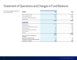## Statement of Operations and Changes in Fund Balances

For the year ended March 31, 2021 (in thousands of dollars)

| <b>REVENUE</b>                                       | 2021   | 2020   |
|------------------------------------------------------|--------|--------|
|                                                      | \$     | \$     |
| Grants - Ministry of Health                          | 14,433 | 10,765 |
| Grants and other revenue                             | 18,797 | 15,808 |
| Amortization of deferred capital grant               | 526    | 469    |
| Interest income                                      | 35     | 62     |
|                                                      | 33,791 | 27,104 |
| <b>EXPENDITURES</b>                                  |        |        |
| Employee costs                                       | 23,346 | 22,325 |
| Contracted services                                  | 43     | 287    |
| Information, technology and cybersecurity            | 2,311  | 1,622  |
| Office and general                                   | 688    | 883    |
| Amortization of tangible capital assets              | 526    | 469    |
| Professional fees                                    | 1,249  | 421    |
| Premises                                             | 1,001  | 1,086  |
|                                                      | 29,164 | 27,093 |
| Excess of revenues over expenditures<br>for the year | 4,627  | 11     |
| General fund - beginning of year                     | 1,148  | 781    |
| Remeasurement of post-employment benefits            | (61)   | 356    |
| General fund - end of year                           | 5,714  | 1,148  |